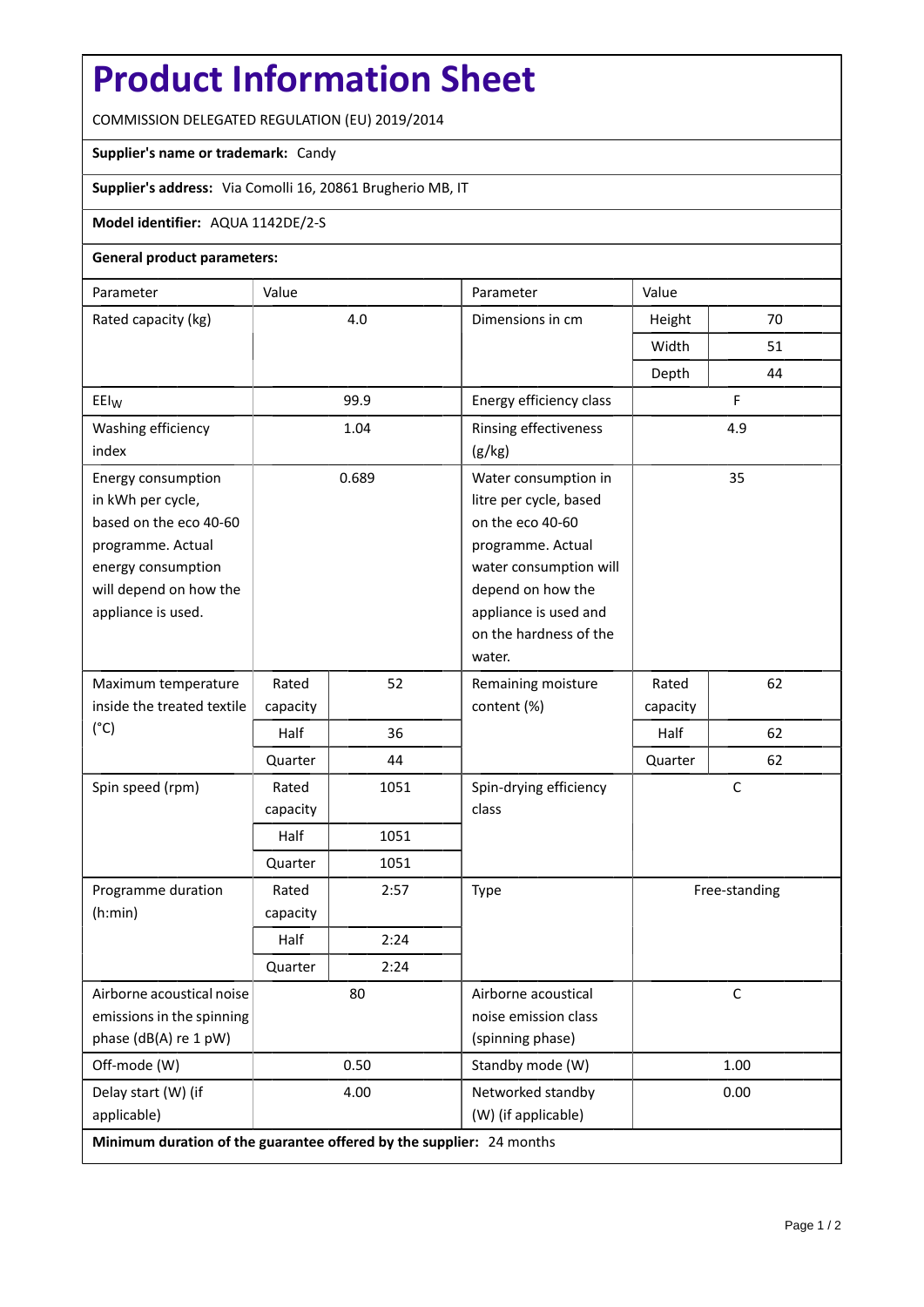## **Product Information Sheet**

COMMISSION DELEGATED REGULATION (EU) 2019/2014

## **Supplier's name or trademark:** Candy

**Supplier's address:** Via Comolli 16, 20861 Brugherio MB, IT

## **Model identifier:** AQUA 1142DE/2-S

## **General product parameters:**

| Parameter                                                            | Value    |      | Parameter                                   | Value         |    |  |
|----------------------------------------------------------------------|----------|------|---------------------------------------------|---------------|----|--|
| Rated capacity (kg)                                                  | 4.0      |      | Dimensions in cm                            | Height        | 70 |  |
|                                                                      |          |      |                                             | Width         | 51 |  |
|                                                                      |          |      |                                             | Depth         | 44 |  |
| EEI <sub>W</sub>                                                     | 99.9     |      | Energy efficiency class                     | F             |    |  |
| Washing efficiency                                                   | 1.04     |      | Rinsing effectiveness                       | 4.9           |    |  |
| index                                                                |          |      | (g/kg)                                      |               |    |  |
| Energy consumption                                                   | 0.689    |      | Water consumption in                        | 35            |    |  |
| in kWh per cycle,                                                    |          |      | litre per cycle, based                      |               |    |  |
| based on the eco 40-60                                               |          |      | on the eco 40-60                            |               |    |  |
| programme. Actual                                                    |          |      | programme. Actual                           |               |    |  |
| energy consumption<br>will depend on how the                         |          |      | water consumption will<br>depend on how the |               |    |  |
| appliance is used.                                                   |          |      | appliance is used and                       |               |    |  |
|                                                                      |          |      | on the hardness of the                      |               |    |  |
|                                                                      |          |      | water.                                      |               |    |  |
| Maximum temperature                                                  | Rated    | 52   | Remaining moisture                          | Rated         | 62 |  |
| inside the treated textile                                           | capacity |      | content (%)                                 | capacity      |    |  |
| $(^{\circ}C)$                                                        | Half     | 36   |                                             | Half          | 62 |  |
|                                                                      | Quarter  | 44   |                                             | Quarter       | 62 |  |
| Spin speed (rpm)                                                     | Rated    | 1051 | $\mathsf{C}$<br>Spin-drying efficiency      |               |    |  |
|                                                                      | capacity |      | class                                       |               |    |  |
|                                                                      | Half     | 1051 |                                             |               |    |  |
|                                                                      | Quarter  | 1051 |                                             |               |    |  |
| Programme duration                                                   | Rated    | 2:57 | Type                                        | Free-standing |    |  |
| (h:min)                                                              | capacity |      |                                             |               |    |  |
|                                                                      | Half     | 2:24 |                                             |               |    |  |
|                                                                      | Quarter  | 2:24 |                                             |               |    |  |
| Airborne acoustical noise                                            | 80       |      | Airborne acoustical                         | $\mathsf C$   |    |  |
| emissions in the spinning                                            |          |      | noise emission class                        |               |    |  |
| phase (dB(A) re 1 pW)                                                |          |      | (spinning phase)                            |               |    |  |
| Off-mode (W)                                                         | 0.50     |      | Standby mode (W)                            | 1.00          |    |  |
| Delay start (W) (if                                                  | 4.00     |      | Networked standby                           | 0.00          |    |  |
| applicable)                                                          |          |      | (W) (if applicable)                         |               |    |  |
| Minimum duration of the guarantee offered by the supplier: 24 months |          |      |                                             |               |    |  |